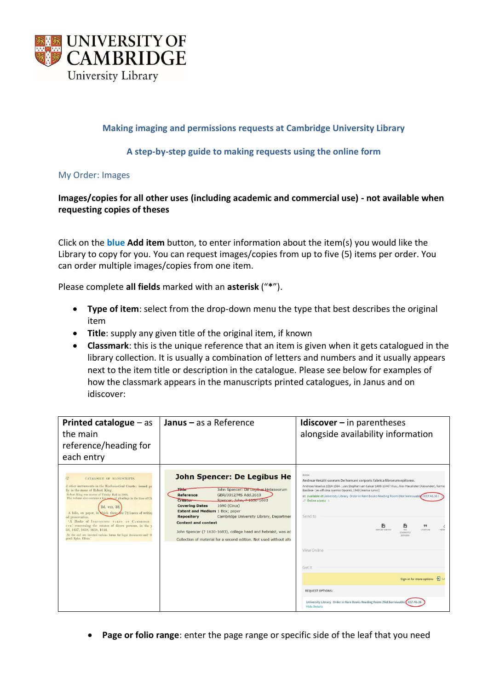

# **Making imaging and permissions requests at Cambridge University Library**

# **A step-by-step guide to making requests using the online form**

My Order: Images

# **Images/copies for all other uses (including academic and commercial use) - not available when requesting copies of theses**

Click on the **blue Add item** button, to enter information about the item(s) you would like the Library to copy for you. You can request images/copies from up to five (5) items per order. You can order multiple images/copies from one item.

Please complete **all fields** marked with an **asterisk** ("**\***").

- **Type of item**: select from the drop-down menu the type that best describes the original item
- **Title**: supply any given title of the original item, if known
- **Classmark**: this is the unique reference that an item is given when it gets catalogued in the library collection. It is usually a combination of letters and numbers and it usually appears next to the item title or description in the catalogue. Please see below for examples of how the classmark appears in the manuscripts printed catalogues, in Janus and on idiscover:

| <b>Printed catalogue</b> $-$ as<br>the main<br>reference/heading for<br>each entry                                                                                                                                                                                                                                                                                                                                                                                                                                                                                                                      | <b>Janus</b> $-$ as a Reference                                                                                                                                                                                                                                                                                                                                                                                                                                                        | Idiscover $-$ in parentheses<br>alongside availability information                                                                                                                                                                                                                                                                                                                                                                                                                                                                                                                                                                                                                                                   |
|---------------------------------------------------------------------------------------------------------------------------------------------------------------------------------------------------------------------------------------------------------------------------------------------------------------------------------------------------------------------------------------------------------------------------------------------------------------------------------------------------------------------------------------------------------------------------------------------------------|----------------------------------------------------------------------------------------------------------------------------------------------------------------------------------------------------------------------------------------------------------------------------------------------------------------------------------------------------------------------------------------------------------------------------------------------------------------------------------------|----------------------------------------------------------------------------------------------------------------------------------------------------------------------------------------------------------------------------------------------------------------------------------------------------------------------------------------------------------------------------------------------------------------------------------------------------------------------------------------------------------------------------------------------------------------------------------------------------------------------------------------------------------------------------------------------------------------------|
| 52<br>CATALOGUE OF MANUSCRIPTS.<br>d other instruments in the Ecclesiastical Courts: issued pri<br>lly in the name of Robert King.<br>Robert King was master of Trinity Hall in 1660,<br>The volume also contains a few notes of pleadings in the time of Ch<br>Dd. vIII. 32.<br>A folio, on paper, in thich there are 72 leaves of writing<br>od preservation.<br>'A Booke of INQUISICONS TAKEN AT CAMBRIDGE<br>UNT.' concerning the estates of divers persons, in the v<br>36, 1637, 1638, 1639, 1644,<br>At the end are inserted various forms for legal documents and 'ffe<br>gendi Episc, Eliens.' | <b>John Spencer: De Legibus He</b><br>$-$<br>John Spencer: De Legibus Hebraeorum<br>Reference<br>GBR/0012/MS Add.2610<br>Spencer, John, ? 1030-1693<br>Creator<br><b>Covering Dates</b><br>1690 (Circa)<br><b>Extent and Medium 1 Box; paper</b><br>Cambridge University Library, Department<br><b>Repository</b><br><b>Content and context</b><br>John Spencer (? 1630-1693), college head and hebraist, was ad<br>Collection of material for a second edition. Not used without alte | BOOK<br>Andreæ Vesalii suorum De humani corporis fabrica librorum epitome.<br>Andreas Vesalius 1514-1564. ; Jan Stephan van Calcar 1499-1546? illus.; Alex Macalister (Alexander), former<br>Basileae : [ex officina Ioannis Oporini, 1543 (mense Iunio)]<br>Available at University Library Order in Rare Books Reading Room (Not borrowable (CCF.46.36)<br><i>◎</i> Online access ><br>Send to<br>n<br>Ð<br>99<br>ć<br><b>EXPORT BIBTEX</b><br>CITATION<br><b>RIS</b><br>PERM<br>(ENDNOTE/<br>ZOTERO)<br>View Online<br>Get It<br>$\rightarrow$ Lo<br>Sign-in for more options<br><b>REQUEST OPTIONS:</b><br>University Library Order in Rare Books Reading Room (Not borrowable) CCF.46.36<br><b>Hide Details</b> |

• **Page or folio range**: enter the page range or specific side of the leaf that you need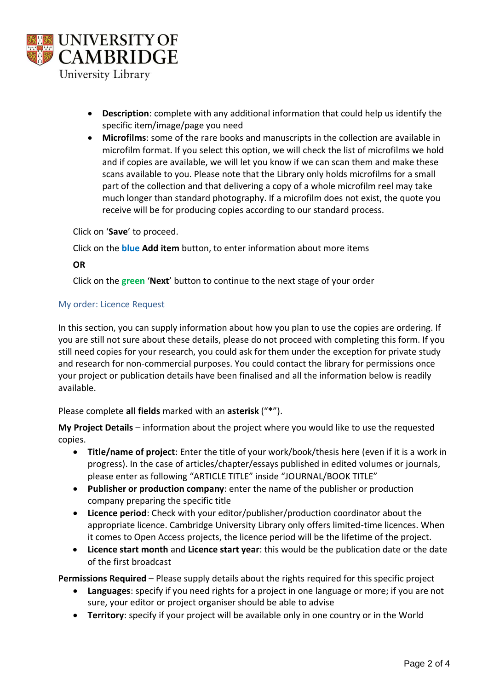

- **Description**: complete with any additional information that could help us identify the specific item/image/page you need
- **Microfilms**: some of the rare books and manuscripts in the collection are available in microfilm format. If you select this option, we will check the list of microfilms we hold and if copies are available, we will let you know if we can scan them and make these scans available to you. Please note that the Library only holds microfilms for a small part of the collection and that delivering a copy of a whole microfilm reel may take much longer than standard photography. If a microfilm does not exist, the quote you receive will be for producing copies according to our standard process.

Click on '**Save**' to proceed.

Click on the **blue Add item** button, to enter information about more items

# **OR**

Click on the **green** '**Next**' button to continue to the next stage of your order

## My order: Licence Request

In this section, you can supply information about how you plan to use the copies are ordering. If you are still not sure about these details, please do not proceed with completing this form. If you still need copies for your research, you could ask for them under the exception for private study and research for non-commercial purposes. You could contact the library for permissions once your project or publication details have been finalised and all the information below is readily available.

Please complete **all fields** marked with an **asterisk** ("**\***").

**My Project Details** – information about the project where you would like to use the requested copies.

- **Title/name of project**: Enter the title of your work/book/thesis here (even if it is a work in progress). In the case of articles/chapter/essays published in edited volumes or journals, please enter as following "ARTICLE TITLE" inside "JOURNAL/BOOK TITLE"
- **Publisher or production company**: enter the name of the publisher or production company preparing the specific title
- **Licence period**: Check with your editor/publisher/production coordinator about the appropriate licence. Cambridge University Library only offers limited-time licences. When it comes to Open Access projects, the licence period will be the lifetime of the project.
- **Licence start month** and **Licence start year**: this would be the publication date or the date of the first broadcast

**Permissions Required** – Please supply details about the rights required for this specific project

- **Languages**: specify if you need rights for a project in one language or more; if you are not sure, your editor or project organiser should be able to advise
- **Territory**: specify if your project will be available only in one country or in the World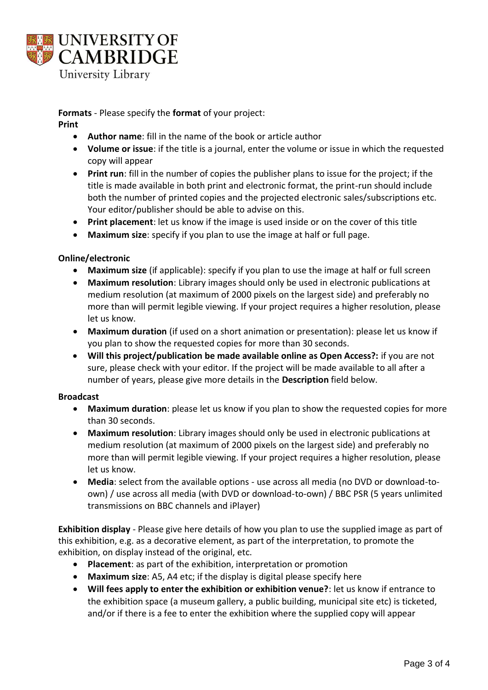

**Formats** - Please specify the **format** of your project:

#### **Print**

- **Author name**: fill in the name of the book or article author
- **Volume or issue**: if the title is a journal, enter the volume or issue in which the requested copy will appear
- **Print run**: fill in the number of copies the publisher plans to issue for the project; if the title is made available in both print and electronic format, the print-run should include both the number of printed copies and the projected electronic sales/subscriptions etc. Your editor/publisher should be able to advise on this.
- **Print placement**: let us know if the image is used inside or on the cover of this title
- **Maximum size**: specify if you plan to use the image at half or full page.

## **Online/electronic**

- **Maximum size** (if applicable): specify if you plan to use the image at half or full screen
- **Maximum resolution**: Library images should only be used in electronic publications at medium resolution (at maximum of 2000 pixels on the largest side) and preferably no more than will permit legible viewing. If your project requires a higher resolution, please let us know.
- **Maximum duration** (if used on a short animation or presentation): please let us know if you plan to show the requested copies for more than 30 seconds.
- **Will this project/publication be made available online as Open Access?:** if you are not sure, please check with your editor. If the project will be made available to all after a number of years, please give more details in the **Description** field below.

## **Broadcast**

- **Maximum duration**: please let us know if you plan to show the requested copies for more than 30 seconds.
- **Maximum resolution**: Library images should only be used in electronic publications at medium resolution (at maximum of 2000 pixels on the largest side) and preferably no more than will permit legible viewing. If your project requires a higher resolution, please let us know.
- **Media**: select from the available options use across all media (no DVD or download-toown) / use across all media (with DVD or download-to-own) / BBC PSR (5 years unlimited transmissions on BBC channels and iPlayer)

**Exhibition display** - Please give here details of how you plan to use the supplied image as part of this exhibition, e.g. as a decorative element, as part of the interpretation, to promote the exhibition, on display instead of the original, etc.

- **Placement**: as part of the exhibition, interpretation or promotion
- **Maximum size**: A5, A4 etc; if the display is digital please specify here
- **Will fees apply to enter the exhibition or exhibition venue?**: let us know if entrance to the exhibition space (a museum gallery, a public building, municipal site etc) is ticketed, and/or if there is a fee to enter the exhibition where the supplied copy will appear